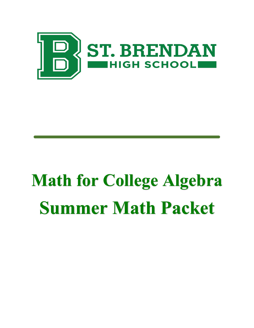

# **Math for College Algebra Summer Math Packet**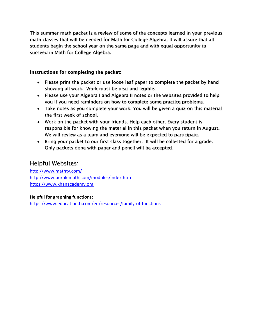This summer math packet is a review of some of the concepts learned in your previous math classes that will be needed for Math for College Algebra. It will assure that all students begin the school year on the same page and with equal opportunity to succeed in Math for College Algebra.

# Instructions for completing the packet:

- Please print the packet or use loose leaf paper to complete the packet by hand showing all work. Work must be neat and legible.
- Please use your Algebra I and Algebra II notes or the websites provided to help you if you need reminders on how to complete some practice problems.
- Take notes as you complete your work. You will be given a quiz on this material the first week of school.
- Work on the packet with your friends. Help each other. Every student is responsible for knowing the material in this packet when you return in August. We will review as a team and everyone will be expected to participate.
- Bring your packet to our first class together. It will be collected for a grade. Only packets done with paper and pencil will be accepted.

# Helpful Websites:

[http://www.mathtv.com/](https://mathtv.com/) <http://www.purplemath.com/modules/index.htm> [https://www.khanacademy.org](https://www.khanacademy.org/)

## **Helpful for graphing functions:**

<https://www.education.ti.com/en/resources/family-of-functions>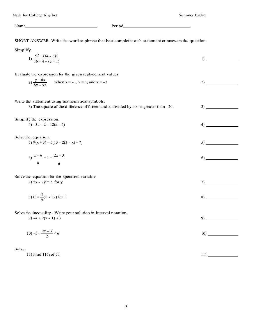Name Period Period

SHORT ANSWER. Write the word or phrase that best completes each statement or answers the question.

Simplify. 1)  $\frac{5^2 + (14 - 6)^2}{16 \div 4 - (2 + 1)}$  1) Evaluate the expression for the given replacement values. 2)  $\frac{y - 6x}{8x - xz}$  when  $x = -1$ ,  $y = 3$ , and  $z = -3$  2) Write the statement using mathematical symbols. 3) The square of the difference of fifteen and x, divided by six, is greater than -20. 3) Simplify the expression.  $4) -3a - 2 - 12(a - 6)$  4) Solve the equation. 5)  $9(x+3) = 5[13 - 2(3-x) + 7]$  5)  $6) \frac{z+6}{z+1} + 1 = \frac{2z+3}{z+3}$ 9 6 Solve the equation for the specified variable. 7)  $5x - 7y = 2$  for y 7) 8)  $C = \frac{5}{9}(F - 32)$  for F

Solve the inequality. Write your solution in interval notation.

9)  $-4 < 2(x - 1) \le 3$ 

$$
10) -5 \le \frac{2x - 3}{2} < 6 \tag{10}
$$

Solve.

11) Find 11% of 50. 11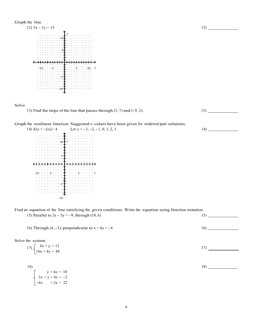

Solve.



Graph the nonlinear function. Suggested x-values have been given for ordered pair solutions.<br>14)  $f(x) = -|x| + 4$  Let  $x = -3, -2, -1, 0, 1, 2, 3$  14)

| ) $f(x) = -  x  + 4$ |                                                          | Let $x = -3, -2, -1$                     |
|----------------------|----------------------------------------------------------|------------------------------------------|
|                      |                                                          |                                          |
|                      |                                                          |                                          |
|                      | $10+y$                                                   | $\sim 100$ km s $^{-1}$                  |
|                      |                                                          |                                          |
|                      |                                                          |                                          |
|                      |                                                          |                                          |
|                      | $\mathbf{A}=\mathbf{A}+\mathbf{A}+\mathbf{A}+\mathbf{A}$ |                                          |
|                      | $\cdots$ 5                                               | and a state of the                       |
|                      |                                                          |                                          |
|                      |                                                          | <b>Contractor</b><br><b>All All Anna</b> |
|                      |                                                          |                                          |
|                      |                                                          |                                          |
|                      |                                                          |                                          |
| $-10$ .              | $11 - 511111 \pm 11$                                     |                                          |
|                      |                                                          |                                          |
|                      |                                                          | <b>Contract</b>                          |
|                      | <b>Contract Contract</b>                                 |                                          |
|                      | $-5+$                                                    | the company's company's                  |
|                      |                                                          |                                          |
|                      | <b>Contractor</b>                                        |                                          |
|                      | $\Delta\sim 10^{-1}$ km s $^{-1}$                        | .                                        |
|                      |                                                          |                                          |
|                      | $-10$                                                    |                                          |

Find an equation of the line satisfying the given conditions. Write the equation using function notation.

| 16) Through $(4, -3)$ ; perpendicular to $x + 4y = -4$                            | 16) |
|-----------------------------------------------------------------------------------|-----|
| Solve the system.                                                                 |     |
| 17) $\begin{cases}\n4x + y = 12 \\ 16x + 4y = 48\n\end{cases}$                    | 17) |
|                                                                                   |     |
| 18)                                                                               | 18) |
| $\begin{cases}\n y + 4z = 10 \\  3x + y + 4z = -2 \\  -4x + 2z = 22\n\end{cases}$ |     |
|                                                                                   |     |
|                                                                                   |     |

15) Parallel to  $2x - 5y = -9$ ; through (10, 6) 15)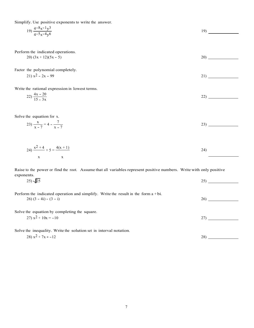Simplify. Use positive exponents to write the answer.

$$
19) \frac{4-8x-1y^3}{4-5x-4y^6}
$$

Perform the indicated operations.

$$
20)\left(3x+12\right)\left(5x-5\right) \tag{20}
$$

Factor the polynomial completely.

$$
21) x2 - 2x - 99
$$

Write the rational expression in lowest terms.

$$
22) \frac{4x - 20}{15 - 3x} \tag{22}
$$

Solve the equation for x.

$$
23)\frac{x}{x-7} = 4 - \frac{7}{x-7}
$$
 (23)

$$
24) \frac{x^2 + 4}{x} + 5 = \frac{4(x + 1)}{x}
$$

Raise to the power or find the root. Assume that all variables represent positive numbers. Write with only positive exponents.

| $(25) \sqrt{25}$                                                                                            | $25^\circ$ |  |
|-------------------------------------------------------------------------------------------------------------|------------|--|
| Perform the indicated operation and simplify. Write the result in the form $a + bi$ .<br>$26(3-4i) - (3-i)$ | 26)        |  |
| Solve the equation by completing the square.                                                                |            |  |
| 27) $x^2 + 10x = -10$                                                                                       | 27         |  |

Solve the inequality. Write the solution set in interval notation.

$$
28) x2 + 7x \ge -12
$$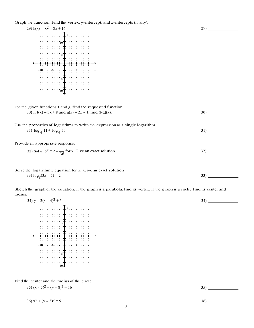Graph the function. Find the vertex, y-intercept, and x-intercepts (if any).

29)  $h(x) = x^2 - 8x + 16$ y 10 5  $-10$   $-5$   $-5$   $+$   $+$   $+$   $-5$   $+$   $10$   $x$ -5 -10

For the given functions f and g, find the requested function. 30) If  $f(x) = 3x + 8$  and  $g(x) = 2x - 1$ , find  $(f \circ g)(x)$ . 30)

Use the properties of logarithms to write the expression as a single logarithm.

Prov

radiu

y 10 <u>5555<del>1</del>5555</u>  $-10$   $-5$   $-5$   $+1$   $+1$   $+5$   $-10$   $-8$ -5  $-10J$ 

Find the center and the radius of the circle.

$$
35(x - 5)^2 + (y - 8)^2 = 16
$$

 $36)$   $x^2 + (y - 3)^2 = 9$  36)

Provides an appropriate response.  
\n31) 
$$
\log_4 11 + \log_4 11
$$
  
\n32) Solve  $6^x - 3 = \frac{1}{36}$  for x. Give an exact solution.  
\n33)  $\log_8(3x - 5) = 2$   
\n34)  $y = 2(x - 4)^2 + 5$   
\n35)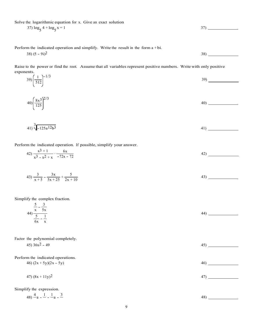Solve the logarithmic equation for x. Give an exact solution

$$
37) \log_5 4 + \log_5 x = 1
$$

Perform the indicated operation and simplify. Write the result in the form a + bi.

$$
38) (5 - 9i)^2
$$

Raise to the power or find the root. Assume that all variables represent positive numbers. Write with only positive exponents.  $\frac{1}{2}$ 

$$
39) \left(\frac{1}{512}\right)^{-1/3} \tag{39}
$$

$$
40\left(\frac{8x^3}{125}\right)^{2/3}
$$

$$
41)\sqrt[3]{-125a^{12}b^{3}}
$$

Perform the indicated operation. If possible, simplify your answer.

42) 
$$
\frac{x^3+1}{x^3-x^2+x} \cdot \frac{6x}{-72x-72}
$$
42)

$$
43)\frac{3}{x+5} - \frac{3x}{5x+25} + \frac{5}{2x+10}
$$

Simplify the complex fraction.

| $5 \quad 3$<br>$\frac{1}{x} - \frac{1}{5x}$               |  |  |
|-----------------------------------------------------------|--|--|
| $\frac{44}{5}$                                            |  |  |
| $\overline{\phantom{a}}$<br>$-- -$<br>$6x - \overline{x}$ |  |  |

| Factor the polynomial completely. |    |
|-----------------------------------|----|
| 45) $36x^2 - 49$                  | 45 |
|                                   |    |
| Perform the indicated operations. |    |
| 46) $(2x + 5y)(2x - 5y)$          | 46 |
|                                   |    |

47)  $(8x + 11y)^2$  47)

Simplify the expression.

$$
48) \frac{4}{-a} - \frac{1}{-a} - \frac{3}{-a} - \frac{3}{-a} - \frac{48}{-a} - \frac{5}{-a} - \frac{6}{-a} - \frac{7}{-a} - \frac{1}{-a} - \frac{3}{-a} - \frac{1}{-a} - \frac{1}{-a} - \frac{3}{-a} - \frac{1}{-a} - \frac{1}{-a} - \frac{1}{-a} - \frac{1}{-a} - \frac{1}{-a} - \frac{1}{-a} - \frac{1}{-a} - \frac{1}{-a} - \frac{1}{-a} - \frac{1}{-a} - \frac{1}{-a} - \frac{1}{-a} - \frac{1}{-a} - \frac{1}{-a} - \frac{1}{-a} - \frac{1}{-a} - \frac{1}{-a} - \frac{1}{-a} - \frac{1}{-a} - \frac{1}{-a} - \frac{1}{-a} - \frac{1}{-a} - \frac{1}{-a} - \frac{1}{-a} - \frac{1}{-a} - \frac{1}{-a} - \frac{1}{-a} - \frac{1}{-a} - \frac{1}{-a} - \frac{1}{-a} - \frac{1}{-a} - \frac{1}{-a} - \frac{1}{-a} - \frac{1}{-a} - \frac{1}{-a} - \frac{1}{-a} - \frac{1}{-a} - \frac{1}{-a} - \frac{1}{-a} - \frac{1}{-a} - \frac{1}{-a} - \frac{1}{-a} - \frac{1}{-a} - \frac{1}{-a} - \frac{1}{-a} - \frac{1}{-a} - \frac{1}{-a} - \frac{1}{-a} - \frac{1}{-a} - \frac{1}{-a} - \frac{1}{-a} - \frac{1}{-a} - \frac{1}{-a} - \frac{1}{-a} - \frac{1}{-a} - \frac{1}{-a} - \frac{1}{-a} - \frac{1}{-a} - \frac{1}{-a} - \frac{1}{-a} - \frac{1}{-a} - \frac{1}{-a} - \frac{1}{-a} - \frac{1}{-a} - \frac{1}{-a} - \frac{1}{-a} - \frac{1}{-a} - \frac{1}{-a} - \frac{1}{-a} - \frac{1}{-a} - \frac{1}{-a}
$$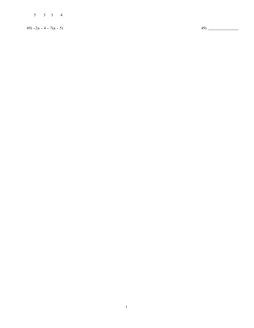3 3 4

 $49) -2a - 4 - 7(a - 5)$   $49)$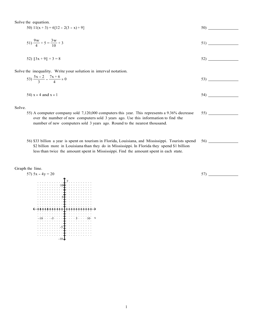Solve the equation.

| 50) $11(x + 3) = 6[12 - 2(3 - x) + 9]$ | 50) |
|----------------------------------------|-----|
|                                        |     |

$$
51)\frac{9w}{4} + 5 = \frac{3w}{10} + 3
$$

$$
52) |3x + 9| + 3 = 8
$$

Solve the inequality. Write your solution in interval notation.

$$
53)\frac{5x-2}{3} - \frac{7x+6}{4} \ge 0
$$

$$
54 \text{ s} \ge 4 \text{ and } x \ge 1
$$

Solve.

- 55) A computer company sold 7,120,000 computers this year. This represents a 9.36% decrease over the number of new computers sold 3 years ago. Use this information to find the number of new computers sold 3 years ago. Round to the nearest thousand.
- 56) \$33 billion a year is spent on tourism in Florida, Louisiana, and Mississippi. Tourists spend \$2 billion more in Louisiana than they do in Mississippi. In Florida they spend \$1 billion less than twice the amount spent in Mississippi. Find the amount spent in each state.

#### Graph the line.



57)

56)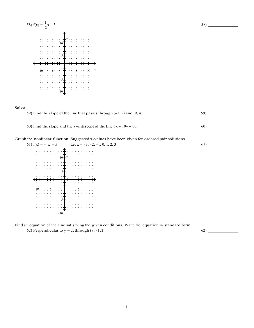

Solve.



60) Find the slope and the y-intercept of the line  $6x - 10y = 60$ . 60)

Graph the nonlinear function. Suggested x-values have been given for ordered pair solutions.<br>61)  $f(x) = -|x| + 5$  Let  $x = -3, -2, -1, 0, 1, 2, 3$  61)



Find an equation of the line satisfying the given conditions. Write the equation in standard form. 62) Perpendicular to  $y = 2$ ; through  $(7, -12)$  62)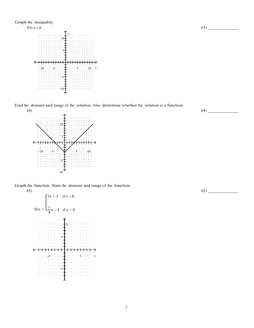

Find the domain and range of the relation. Also determine whether the relation is a function.



Graph the function. State the domain and range of the function. 65)



63)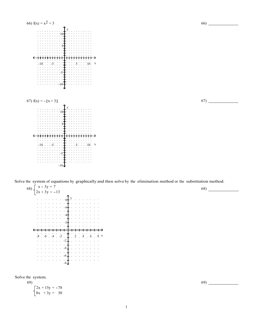

Solve the system of equations by graphically and then solve by the elimination method or the substitution method.



Solve the system.

69)  $2x + 15y = -78$  $8x + 3y = 30$  69)

67)

68)

1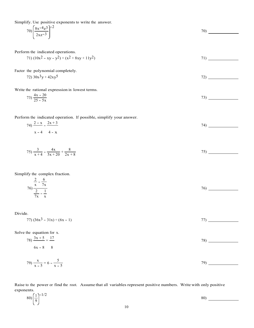Simplify. Use positive exponents to write the answer.

$$
70\left(\frac{8x^{-4}z^{3}}{2xz^{-3}}\right)^{-2}
$$

Perform the indicated operations.

71) 
$$
(10x^2 - xy - y^2) + (x^2 + 8xy + 11y^2)
$$

Factor the polynomial completely.

$$
72)\,30x^3y + 42xy^5\tag{72}
$$

Write the rational expression in lowest terms.

$$
73) \frac{4x - 20}{25 - 5x} \tag{73}
$$

Perform the indicated operation. If possible, simplify your answer.

$$
74) \frac{2-x}{x-4} - \frac{2x+3}{4-x}
$$

$$
75)\frac{3}{x+4} - \frac{4x}{5x+20} + \frac{8}{2x+8}
$$

Simplify the complex fraction.

$$
\frac{\frac{2}{x} - \frac{6}{7x}}{\frac{2}{7x} - \frac{1}{x}}
$$

Divide.

77)  $(36x^3 - 31x) \div (6x - 1)$  77)  $(36x^3 - 31x) \div (6x - 1)$ 

Solve the equation for x.

$$
78) \frac{3x+5}{6x-8} = \frac{17}{8}
$$

$$
(79) \frac{x}{x-5} = 6 - \frac{5}{x-5}
$$

Raise to the power or find the root. Assume that all variables represent positive numbers. Write with only positive exponents.

$$
80) \left(\frac{1}{9}\right)^{-1/2} \tag{80}
$$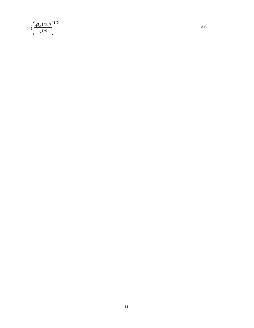$$
81)\left(\frac{42 \times 1/5 \times 7}{\times 1/5}\right)^{1/2}
$$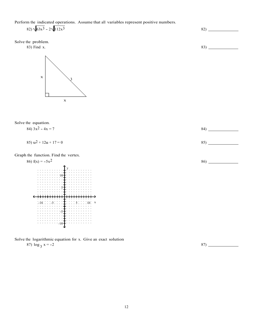Perform the indicated operations. Assume that all variables represent positive numbers.  $82)\sqrt{63x^3}$  -  $2\sqrt{112x^3}$   $82)$ 

Solve the problem.<br>83) Find x.

83) Find x. 83



### Solve the equation.

84) 
$$
3x^2 - 4x = 7
$$
  
85)  $u^2 + 12u + 17 = 0$   
85)  $u^2 + 12u + 17 = 0$   
86)  $u^2 + 12u + 17 = 0$ 

Grap



# Solve the logarithmic equation for x. Give an exact solution 87)  $\log_3 x = -2$  87)  $-$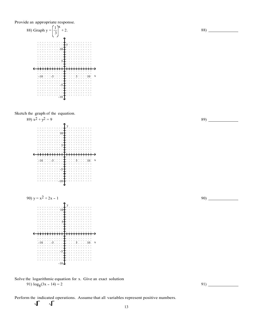Provide an appropriate response.



Sketch the graph of the equation.



Solve the logarithmic equation for x. Give an exact solution 91)  $\log_8(3x - 14) = 2$  91)

Perform the indicated operations. Assume that all variables represent positive numbers.

13

89)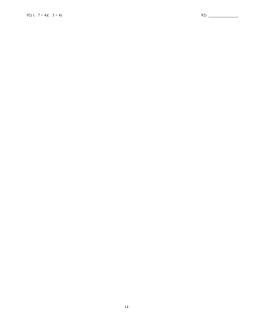92)  $(7+4)(3+4)$  92) 20